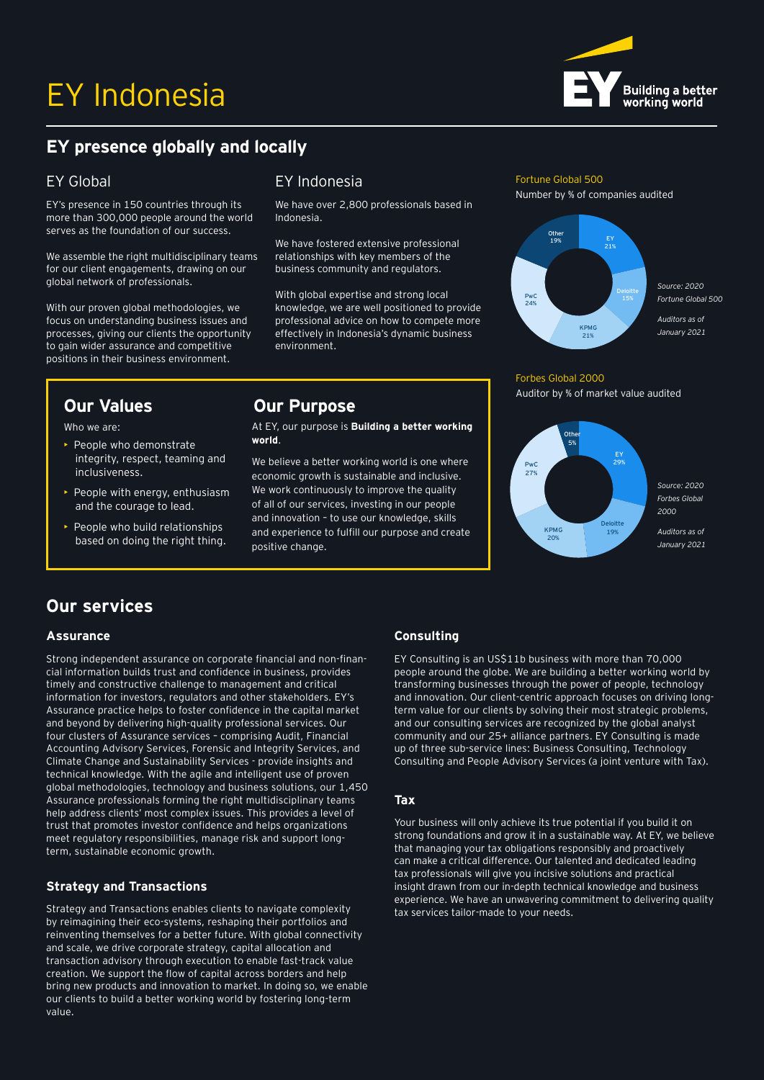# EY Indonesia



# **EY presence globally and locally**

### EY Global

EY's presence in 150 countries through its more than 300,000 people around the world serves as the foundation of our success.

We assemble the right multidisciplinary teams for our client engagements, drawing on our global network of professionals.

With our proven global methodologies, we focus on understanding business issues and processes, giving our clients the opportunity to gain wider assurance and competitive positions in their business environment.

Who we are:

- People who demonstrate integrity, respect, teaming and inclusiveness.
- People with energy, enthusiasm and the courage to lead.
- People who build relationships based on doing the right thing.

## EY Indonesia **Fortune Global 500**

We have over 2,800 professionals based in Indonesia.

We have fostered extensive professional relationships with key members of the business community and regulators.

With global expertise and strong local knowledge, we are well positioned to provide professional advice on how to compete more effectively in Indonesia's dynamic business environment.

### **Our Values Our Purpose**

At EY, our purpose is **Building a better working world**.

We believe a better working world is one where economic growth is sustainable and inclusive. We work continuously to improve the quality of all of our services, investing in our people and innovation – to use our knowledge, skills and experience to fulfill our purpose and create positive change.

Number by % of companies audited



### Forbes Global 2000

Auditor by % of market value audited



## **Our services**

### **Assurance**

Strong independent assurance on corporate financial and non-financial information builds trust and confidence in business, provides timely and constructive challenge to management and critical information for investors, regulators and other stakeholders. EY's Assurance practice helps to foster confidence in the capital market and beyond by delivering high-quality professional services. Our four clusters of Assurance services – comprising Audit, Financial Accounting Advisory Services, Forensic and Integrity Services, and Climate Change and Sustainability Services - provide insights and technical knowledge. With the agile and intelligent use of proven global methodologies, technology and business solutions, our 1,450 Assurance professionals forming the right multidisciplinary teams help address clients' most complex issues. This provides a level of trust that promotes investor confidence and helps organizations meet regulatory responsibilities, manage risk and support longterm, sustainable economic growth.

### **Strategy and Transactions**

Strategy and Transactions enables clients to navigate complexity by reimagining their eco-systems, reshaping their portfolios and reinventing themselves for a better future. With global connectivity and scale, we drive corporate strategy, capital allocation and transaction advisory through execution to enable fast-track value creation. We support the flow of capital across borders and help bring new products and innovation to market. In doing so, we enable our clients to build a better working world by fostering long-term value.

### **Consulting**

EY Consulting is an US\$11b business with more than 70,000 people around the globe. We are building a better working world by transforming businesses through the power of people, technology and innovation. Our client-centric approach focuses on driving longterm value for our clients by solving their most strategic problems, and our consulting services are recognized by the global analyst community and our 25+ alliance partners. EY Consulting is made up of three sub-service lines: Business Consulting, Technology Consulting and People Advisory Services (a joint venture with Tax).

### **Tax**

Your business will only achieve its true potential if you build it on strong foundations and grow it in a sustainable way. At EY, we believe that managing your tax obligations responsibly and proactively can make a critical difference. Our talented and dedicated leading tax professionals will give you incisive solutions and practical insight drawn from our in-depth technical knowledge and business experience. We have an unwavering commitment to delivering quality tax services tailor-made to your needs.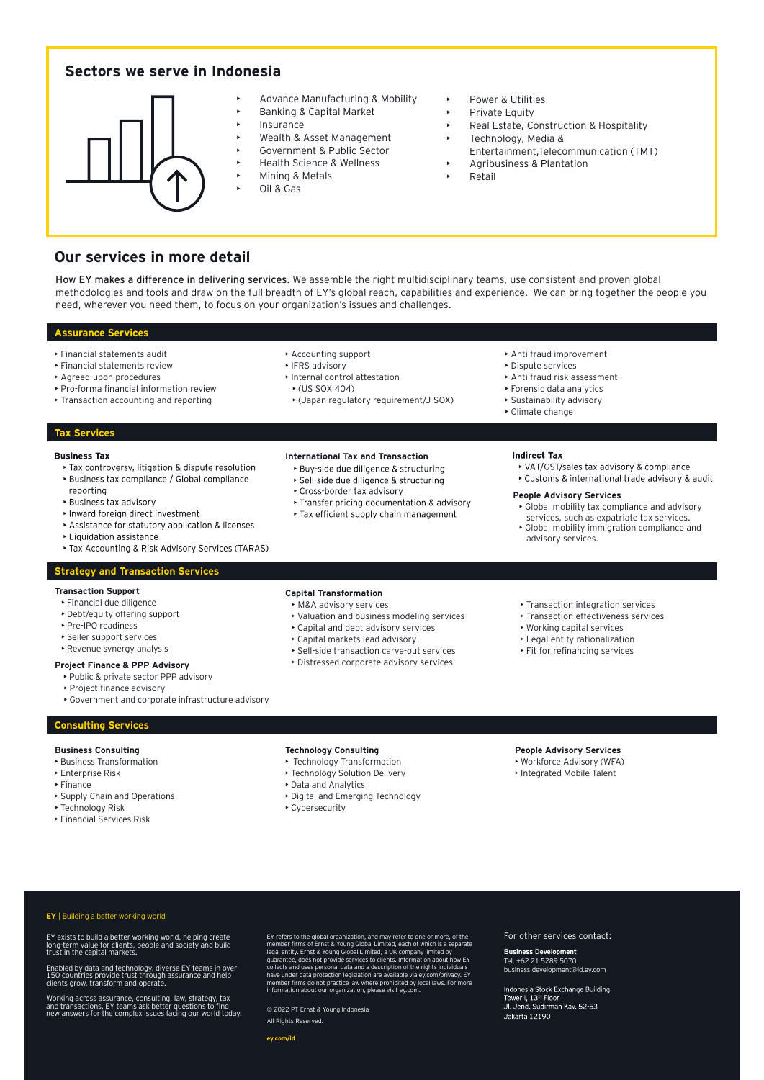### **Sectors we serve in Indonesia**



- Advance Manufacturing & Mobility • Banking & Capital Market
- 
- Insurance
	- Wealth & Asset Management
	- Government & Public Sector
	- Health Science & Wellness
	- Mining & Metals
	- Oil & Gas
- Power & Utilities
- Private Fquity
- Real Estate, Construction & Hospitality
- Technology, Media &
- Entertainment,Telecommunication (TMT)
- Agribusiness & Plantation
- **Retail**

### **Our services in more detail**

How EY makes a difference in delivering services. We assemble the right multidisciplinary teams, use consistent and proven global methodologies and tools and draw on the full breadth of EY's global reach, capabilities and experience. We can bring together the people you need, wherever you need them, to focus on your organization's issues and challenges.

#### **Assurance Services**

- Financial statements audit
- Financial statements review
- Agreed-upon procedures
- Pro-forma financial information review
- Transaction accounting and reporting

#### • Accounting support • IFRS advisory

- Internal control attestation
- (US SOX 404)
- (Japan regulatory requirement/J-SOX)

**International Tax and Transaction**

- Anti fraud improvement
- Dispute services
- Anti fraud risk assessment • Forensic data analytics

**People Advisory Services**

- Sustainability advisory
- Climate change

**Indirect Tax** 

#### **Tax Services**

#### **Business Tax**

- ▶ Tax controversy, litigation & dispute resolution Business tax compliance / Global compliance
- reporting
- ▶ Business fax advisory
- Inward foreign direct investment
- Assistance for statutory application & licenses
- Liquidation assistance
- Tax Accounting & Risk Advisory Services (TARAS)

#### **Strategy and Transaction Services**

#### **Transaction Support**

- Financial due diligence
- Debt/equity offering support
- Pre-IPO readiness
- Seller support services
- Revenue synergy analysis

### **Project Finance & PPP Advisory**

- Public & private sector PPP advisory
- Project finance advisory
- Government and corporate infrastructure advisory

#### **Consulting Services**

#### **Business Consulting**

- Business Transformation
- Enterprise Risk
- Finance
- Supply Chain and Operations
- Technology Risk
- Financial Services Risk

#### **Capital Transformation**

- M&A advisory services
- Valuation and business modeling services
- Capital and debt advisory services
- Capital markets lead advisory
- Sell-side transaction carve-out services
- Distressed corporate advisory services

• Global mobility immigration compliance and advisory services.

• Global mobility tax compliance and advisory services, such as expatriate tax services.

▶ Customs & international trade advisory & audit

▶ VAT/GST/sales tax advisory & compliance

- Transaction integration services
- Transaction effectiveness services
- Working capital services
- Legal entity rationalization
- Fit for refinancing services

- **Technology Consulting**
	- Technology Transformation
	- Technology Solution Delivery
	- Data and Analytics
	- Digital and Emerging Technology
- **People Advisory Services**
- Workforce Advisory (WFA)
- Integrated Mobile Talent

**EY** | Building a better working world

EY exists to build a better working world, helping create long-term value for clients, people and society and build trust in the capital markets.

Enabled by data and technology, diverse EY teams in over 150 countries provide trust through assurance and help clients grow, transform and operate.

Working across assurance, consulting, law, strategy, tax and transactions, EY teams ask better questions to find new answers for the complex issues facing our world today.

- 
- 
- 

### • Cybersecurity

EY refers to the global organization, and may refer to one or more, of the<br>member firms of Emst & Young Global Limited, each of which is a separate<br>legal entity. Ernst & Young Global Limited, a UK company limited by<br>guaran

#### For other services contact:

### **Business Development**  Tel. +62 21 5289 5070

business.development@id.ey.com

Indonesia Stock Exchange Building Tower I, 13<sup>th</sup> Floor<br>Jl. Jend. Sudirman Kav. 52-53 Jakarta 12190

© 2022 PT Ernst & Young Indonesia All Rights Reserved.

- > Buy-side due diligence & structuring ▶ Sell-side due diligence & structuring ▶ Cross-border tax advisory ▶ Transfer pricing documentation & advisory
	- ▶ Tax efficient supply chain management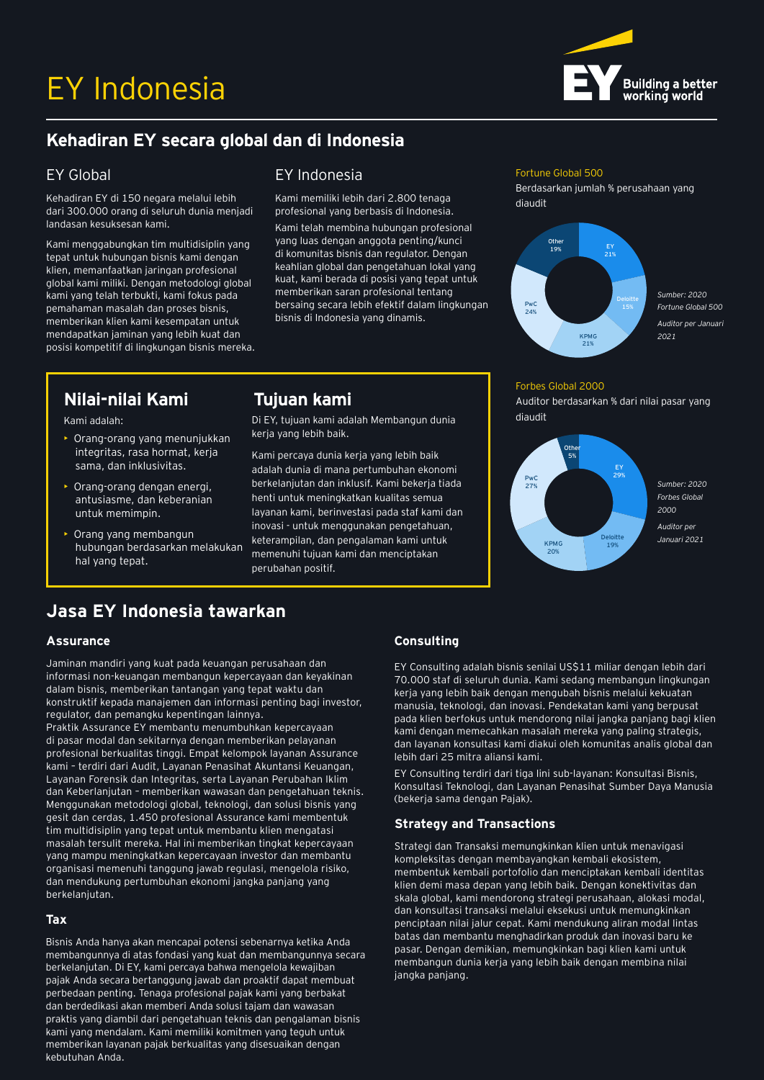

# **Kehadiran EY secara global dan di Indonesia**

### EY Global

Kehadiran EY di 150 negara melalui lebih dari 300.000 orang di seluruh dunia menjadi landasan kesuksesan kami.

Kami menggabungkan tim multidisiplin yang tepat untuk hubungan bisnis kami dengan klien, memanfaatkan jaringan profesional global kami miliki. Dengan metodologi global kami yang telah terbukti, kami fokus pada pemahaman masalah dan proses bisnis, memberikan klien kami kesempatan untuk mendapatkan jaminan yang lebih kuat dan posisi kompetitif di lingkungan bisnis mereka.

• Orang-orang yang menunjukkan integritas, rasa hormat, kerja sama, dan inklusivitas. • Orang-orang dengan energi, antusiasme, dan keberanian

### EY Indonesia Fortune Global 500

Kami memiliki lebih dari 2.800 tenaga profesional yang berbasis di Indonesia.

Di EY, tujuan kami adalah Membangun dunia

Kami percaya dunia kerja yang lebih baik adalah dunia di mana pertumbuhan ekonomi berkelanjutan dan inklusif. Kami bekerja tiada henti untuk meningkatkan kualitas semua layanan kami, berinvestasi pada staf kami dan inovasi - untuk menggunakan pengetahuan, keterampilan, dan pengalaman kami untuk memenuhi tujuan kami dan menciptakan

kerja yang lebih baik.

perubahan positif.

Kami telah membina hubungan profesional yang luas dengan anggota penting/kunci di komunitas bisnis dan regulator. Dengan keahlian global dan pengetahuan lokal yang kuat, kami berada di posisi yang tepat untuk memberikan saran profesional tentang bersaing secara lebih efektif dalam lingkungan bisnis di Indonesia yang dinamis.

Berdasarkan jumlah % perusahaan yang diaudit



### Forbes Global 2000

Auditor berdasarkan % dari nilai pasar yang diaudit



# **Jasa EY Indonesia tawarkan**

hubungan berdasarkan melakukan

### **Assurance**

Kami adalah:

untuk memimpin. • Orang yang membangun

hal yang tepat.

Jaminan mandiri yang kuat pada keuangan perusahaan dan informasi non-keuangan membangun kepercayaan dan keyakinan dalam bisnis, memberikan tantangan yang tepat waktu dan konstruktif kepada manajemen dan informasi penting bagi investor, regulator, dan pemangku kepentingan lainnya.

**Nilai-nilai Kami Tujuan kami** 

Praktik Assurance EY membantu menumbuhkan kepercayaan di pasar modal dan sekitarnya dengan memberikan pelayanan profesional berkualitas tinggi. Empat kelompok layanan Assurance kami – terdiri dari Audit, Layanan Penasihat Akuntansi Keuangan, Layanan Forensik dan Integritas, serta Layanan Perubahan Iklim dan Keberlanjutan – memberikan wawasan dan pengetahuan teknis. Menggunakan metodologi global, teknologi, dan solusi bisnis yang gesit dan cerdas, 1.450 profesional Assurance kami membentuk tim multidisiplin yang tepat untuk membantu klien mengatasi masalah tersulit mereka. Hal ini memberikan tingkat kepercayaan yang mampu meningkatkan kepercayaan investor dan membantu organisasi memenuhi tanggung jawab regulasi, mengelola risiko, dan mendukung pertumbuhan ekonomi jangka panjang yang berkelanjutan.

### **Tax**

Bisnis Anda hanya akan mencapai potensi sebenarnya ketika Anda membangunnya di atas fondasi yang kuat dan membangunnya secara berkelanjutan. Di EY, kami percaya bahwa mengelola kewajiban pajak Anda secara bertanggung jawab dan proaktif dapat membuat perbedaan penting. Tenaga profesional pajak kami yang berbakat dan berdedikasi akan memberi Anda solusi tajam dan wawasan praktis yang diambil dari pengetahuan teknis dan pengalaman bisnis kami yang mendalam. Kami memiliki komitmen yang teguh untuk memberikan layanan pajak berkualitas yang disesuaikan dengan kebutuhan Anda.

### **Consulting**

EY Consulting adalah bisnis senilai US\$11 miliar dengan lebih dari 70.000 staf di seluruh dunia. Kami sedang membangun lingkungan kerja yang lebih baik dengan mengubah bisnis melalui kekuatan manusia, teknologi, dan inovasi. Pendekatan kami yang berpusat pada klien berfokus untuk mendorong nilai jangka panjang bagi klien kami dengan memecahkan masalah mereka yang paling strategis, dan layanan konsultasi kami diakui oleh komunitas analis global dan lebih dari 25 mitra aliansi kami.

EY Consulting terdiri dari tiga lini sub-layanan: Konsultasi Bisnis, Konsultasi Teknologi, dan Layanan Penasihat Sumber Daya Manusia (bekerja sama dengan Pajak).

### **Strategy and Transactions**

Strategi dan Transaksi memungkinkan klien untuk menavigasi kompleksitas dengan membayangkan kembali ekosistem, membentuk kembali portofolio dan menciptakan kembali identitas klien demi masa depan yang lebih baik. Dengan konektivitas dan skala global, kami mendorong strategi perusahaan, alokasi modal, dan konsultasi transaksi melalui eksekusi untuk memungkinkan penciptaan nilai jalur cepat. Kami mendukung aliran modal lintas batas dan membantu menghadirkan produk dan inovasi baru ke pasar. Dengan demikian, memungkinkan bagi klien kami untuk membangun dunia kerja yang lebih baik dengan membina nilai jangka panjang.